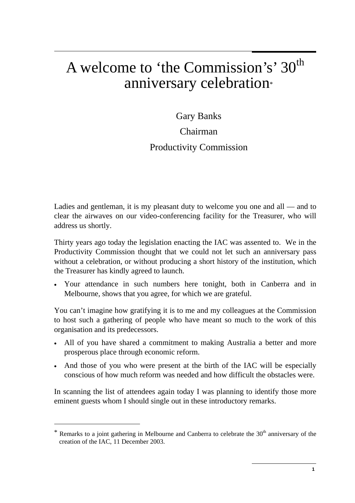## A welcome to 'the Commission's' 30<sup>th</sup> anniversary celebration\*

Gary Banks

## Chairman

## Productivity Commission

Ladies and gentleman, it is my pleasant duty to welcome you one and all — and to clear the airwaves on our video-conferencing facility for the Treasurer, who will address us shortly.

Thirty years ago today the legislation enacting the IAC was assented to. We in the Productivity Commission thought that we could not let such an anniversary pass without a celebration*,* or without producing a short history of the institution, which the Treasurer has kindly agreed to launch.

• Your attendance in such numbers here tonight, both in Canberra and in Melbourne, shows that you agree, for which we are grateful.

You can't imagine how gratifying it is to me and my colleagues at the Commission to host such a gathering of people who have meant so much to the work of this organisation and its predecessors.

- All of you have shared a commitment to making Australia a better and more prosperous place through economic reform.
- And those of you who were present at the birth of the IAC will be especially conscious of how much reform was needed and how difficult the obstacles were.

In scanning the list of attendees again today I was planning to identify those more eminent guests whom I should single out in these introductory remarks.

 $\overline{a}$ 

Remarks to a joint gathering in Melbourne and Canberra to celebrate the  $30<sup>th</sup>$  anniversary of the creation of the IAC, 11 December 2003.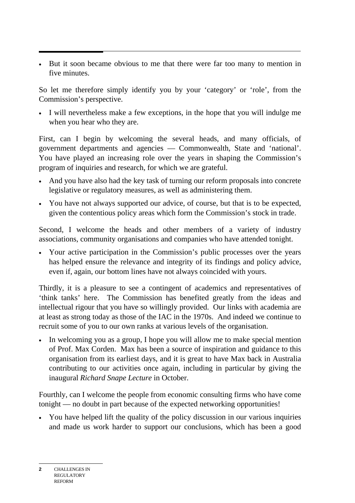• But it soon became obvious to me that there were far too many to mention in five minutes.

So let me therefore simply identify you by your 'category' or 'role', from the Commission's perspective.

• I will nevertheless make a few exceptions, in the hope that you will indulge me when you hear who they are.

First, can I begin by welcoming the several heads, and many officials, of government departments and agencies — Commonwealth, State and 'national'. You have played an increasing role over the years in shaping the Commission's program of inquiries and research, for which we are grateful.

- And you have also had the key task of turning our reform proposals into concrete legislative or regulatory measures, as well as administering them.
- You have not always supported our advice, of course, but that is to be expected, given the contentious policy areas which form the Commission's stock in trade.

Second, I welcome the heads and other members of a variety of industry associations, community organisations and companies who have attended tonight.

• Your active participation in the Commission's public processes over the years has helped ensure the relevance and integrity of its findings and policy advice, even if, again, our bottom lines have not always coincided with yours.

Thirdly, it is a pleasure to see a contingent of academics and representatives of 'think tanks' here. The Commission has benefited greatly from the ideas and intellectual rigour that you have so willingly provided. Our links with academia are at least as strong today as those of the IAC in the 1970s. And indeed we continue to recruit some of you to our own ranks at various levels of the organisation.

• In welcoming you as a group, I hope you will allow me to make special mention of Prof. Max Corden. Max has been a source of inspiration and guidance to this organisation from its earliest days, and it is great to have Max back in Australia contributing to our activities once again, including in particular by giving the inaugural *Richard Snape Lecture* in October.

Fourthly, can I welcome the people from economic consulting firms who have come tonight — no doubt in part because of the expected networking opportunities!

• You have helped lift the quality of the policy discussion in our various inquiries and made us work harder to support our conclusions, which has been a good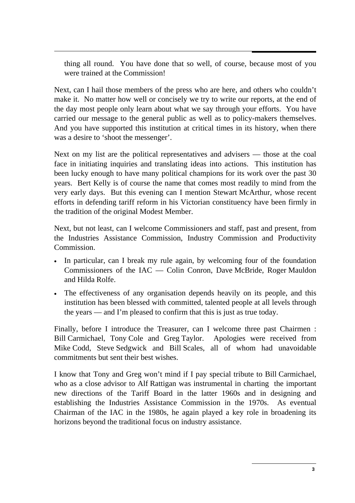thing all round. You have done that so well, of course, because most of you were trained at the Commission!

Next, can I hail those members of the press who are here, and others who couldn't make it. No matter how well or concisely we try to write our reports, at the end of the day most people only learn about what we say through your efforts. You have carried our message to the general public as well as to policy-makers themselves. And you have supported this institution at critical times in its history, when there was a desire to 'shoot the messenger'.

Next on my list are the political representatives and advisers — those at the coal face in initiating inquiries and translating ideas into actions. This institution has been lucky enough to have many political champions for its work over the past 30 years. Bert Kelly is of course the name that comes most readily to mind from the very early days. But this evening can I mention Stewart McArthur, whose recent efforts in defending tariff reform in his Victorian constituency have been firmly in the tradition of the original Modest Member.

Next, but not least, can I welcome Commissioners and staff, past and present, from the Industries Assistance Commission, Industry Commission and Productivity Commission.

- In particular, can I break my rule again, by welcoming four of the foundation Commissioners of the IAC — Colin Conron, Dave McBride, Roger Mauldon and Hilda Rolfe.
- The effectiveness of any organisation depends heavily on its people, and this institution has been blessed with committed, talented people at all levels through the years — and I'm pleased to confirm that this is just as true today.

Finally, before I introduce the Treasurer, can I welcome three past Chairmen : Bill Carmichael, Tony Cole and Greg Taylor. Apologies were received from Mike Codd, Steve Sedgwick and Bill Scales, all of whom had unavoidable commitments but sent their best wishes.

I know that Tony and Greg won't mind if I pay special tribute to Bill Carmichael, who as a close advisor to Alf Rattigan was instrumental in charting the important new directions of the Tariff Board in the latter 1960s and in designing and establishing the Industries Assistance Commission in the 1970s. As eventual Chairman of the IAC in the 1980s, he again played a key role in broadening its horizons beyond the traditional focus on industry assistance.